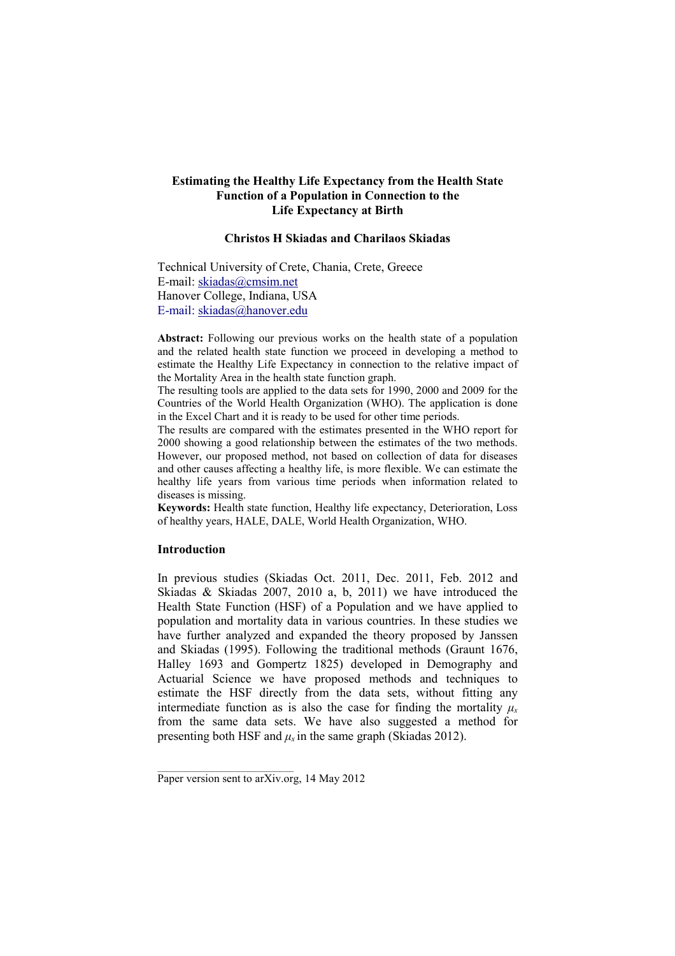# **Estimating the Healthy Life Expectancy from the Health State Function of a Population in Connection to the Life Expectancy at Birth**

# **Christos H Skiadas and Charilaos Skiadas**

Technical University of Crete, Chania, Crete, Greece E-mail: skiadas@cmsim.net Hanover College, Indiana, USA E-mail: skiadas@hanover.edu

**Abstract:** Following our previous works on the health state of a population and the related health state function we proceed in developing a method to estimate the Healthy Life Expectancy in connection to the relative impact of the Mortality Area in the health state function graph.

The resulting tools are applied to the data sets for 1990, 2000 and 2009 for the Countries of the World Health Organization (WHO). The application is done in the Excel Chart and it is ready to be used for other time periods.

The results are compared with the estimates presented in the WHO report for 2000 showing a good relationship between the estimates of the two methods. However, our proposed method, not based on collection of data for diseases and other causes affecting a healthy life, is more flexible. We can estimate the healthy life years from various time periods when information related to diseases is missing.

**Keywords:** Health state function, Healthy life expectancy, Deterioration, Loss of healthy years, HALE, DALE, World Health Organization, WHO.

# **Introduction**

In previous studies (Skiadas Oct. 2011, Dec. 2011, Feb. 2012 and Skiadas & Skiadas 2007, 2010 a, b, 2011) we have introduced the Health State Function (HSF) of a Population and we have applied to population and mortality data in various countries. In these studies we have further analyzed and expanded the theory proposed by Janssen and Skiadas (1995). Following the traditional methods (Graunt 1676, Halley 1693 and Gompertz 1825) developed in Demography and Actuarial Science we have proposed methods and techniques to estimate the HSF directly from the data sets, without fitting any intermediate function as is also the case for finding the mortality  $\mu_x$ from the same data sets. We have also suggested a method for presenting both HSF and  $\mu_x$  in the same graph (Skiadas 2012).

\_\_\_\_\_\_\_\_\_\_\_\_\_\_\_\_\_\_\_\_\_\_\_\_\_\_\_\_\_\_

Paper version sent to arXiv.org, 14 May 2012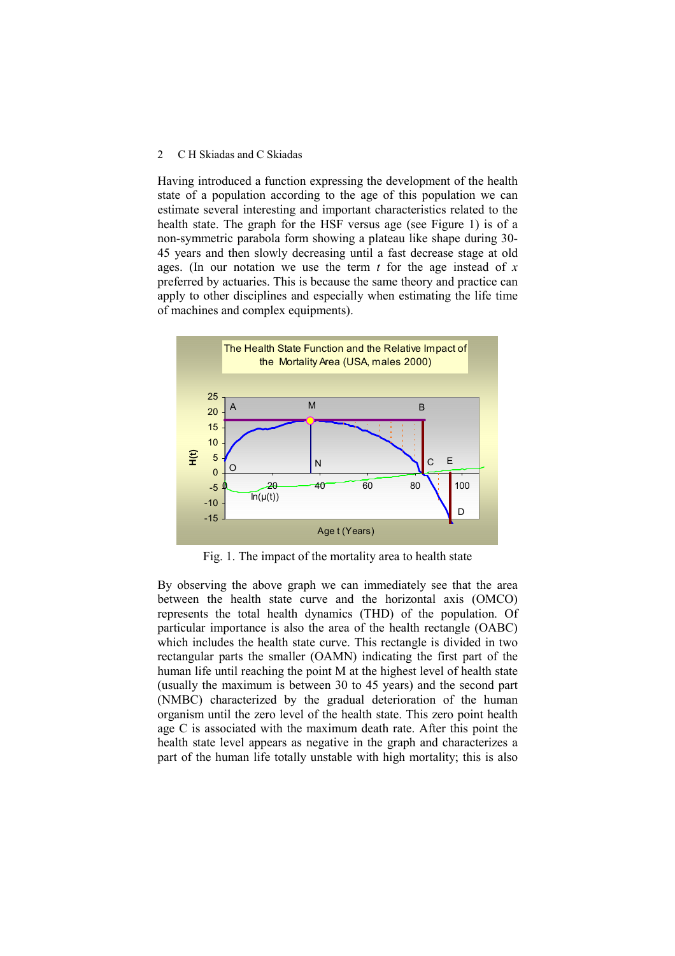Having introduced a function expressing the development of the health state of a population according to the age of this population we can estimate several interesting and important characteristics related to the health state. The graph for the HSF versus age (see Figure 1) is of a non-symmetric parabola form showing a plateau like shape during 30- 45 years and then slowly decreasing until a fast decrease stage at old ages. (In our notation we use the term *t* for the age instead of *x* preferred by actuaries. This is because the same theory and practice can apply to other disciplines and especially when estimating the life time of machines and complex equipments).



Fig. 1. The impact of the mortality area to health state

By observing the above graph we can immediately see that the area between the health state curve and the horizontal axis (OMCO) represents the total health dynamics (THD) of the population. Of particular importance is also the area of the health rectangle (OABC) which includes the health state curve. This rectangle is divided in two rectangular parts the smaller (OAMN) indicating the first part of the human life until reaching the point M at the highest level of health state (usually the maximum is between 30 to 45 years) and the second part (NMBC) characterized by the gradual deterioration of the human organism until the zero level of the health state. This zero point health age C is associated with the maximum death rate. After this point the health state level appears as negative in the graph and characterizes a part of the human life totally unstable with high mortality; this is also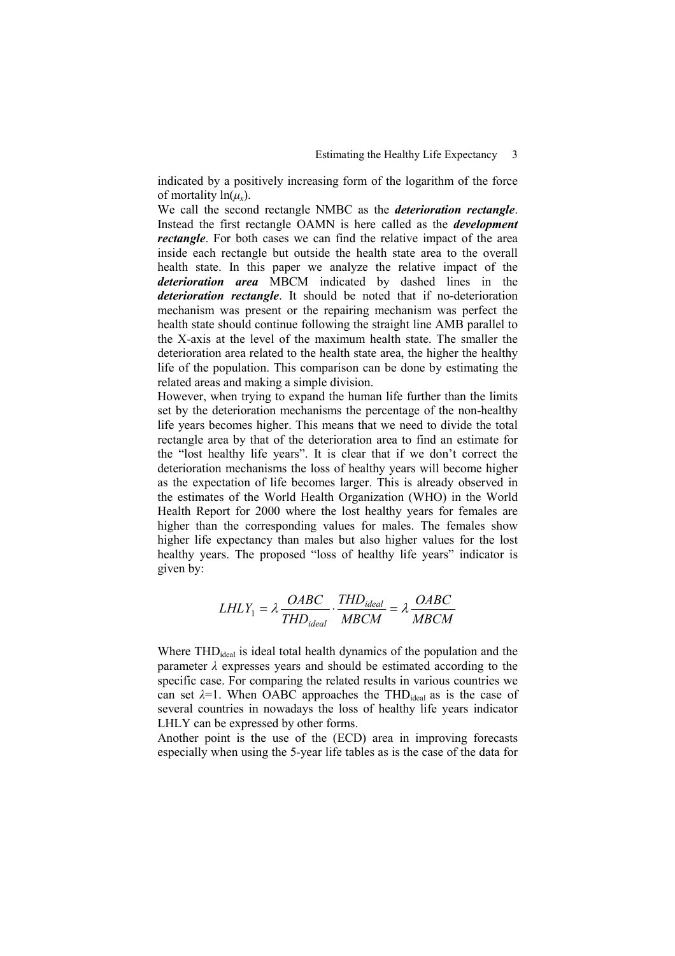indicated by a positively increasing form of the logarithm of the force of mortality ln(*µx*).

We call the second rectangle NMBC as the *deterioration rectangle*. Instead the first rectangle OAMN is here called as the *development rectangle*. For both cases we can find the relative impact of the area inside each rectangle but outside the health state area to the overall health state. In this paper we analyze the relative impact of the *deterioration area* MBCM indicated by dashed lines in the *deterioration rectangle*. It should be noted that if no-deterioration mechanism was present or the repairing mechanism was perfect the health state should continue following the straight line AMB parallel to the X-axis at the level of the maximum health state. The smaller the deterioration area related to the health state area, the higher the healthy life of the population. This comparison can be done by estimating the related areas and making a simple division.

However, when trying to expand the human life further than the limits set by the deterioration mechanisms the percentage of the non-healthy life years becomes higher. This means that we need to divide the total rectangle area by that of the deterioration area to find an estimate for the "lost healthy life years". It is clear that if we don't correct the deterioration mechanisms the loss of healthy years will become higher as the expectation of life becomes larger. This is already observed in the estimates of the World Health Organization (WHO) in the World Health Report for 2000 where the lost healthy years for females are higher than the corresponding values for males. The females show higher life expectancy than males but also higher values for the lost healthy years. The proposed "loss of healthy life years" indicator is given by:

$$
LHLY_1 = \lambda \frac{OABC}{THD_{ideal}} \cdot \frac{THD_{ideal}}{MBCM} = \lambda \frac{OABC}{MBCM}
$$

Where THD<sub>ideal</sub> is ideal total health dynamics of the population and the parameter  $\lambda$  expresses years and should be estimated according to the specific case. For comparing the related results in various countries we can set  $\lambda = 1$ . When OABC approaches the THD<sub>ideal</sub> as is the case of several countries in nowadays the loss of healthy life years indicator LHLY can be expressed by other forms.

Another point is the use of the (ECD) area in improving forecasts especially when using the 5-year life tables as is the case of the data for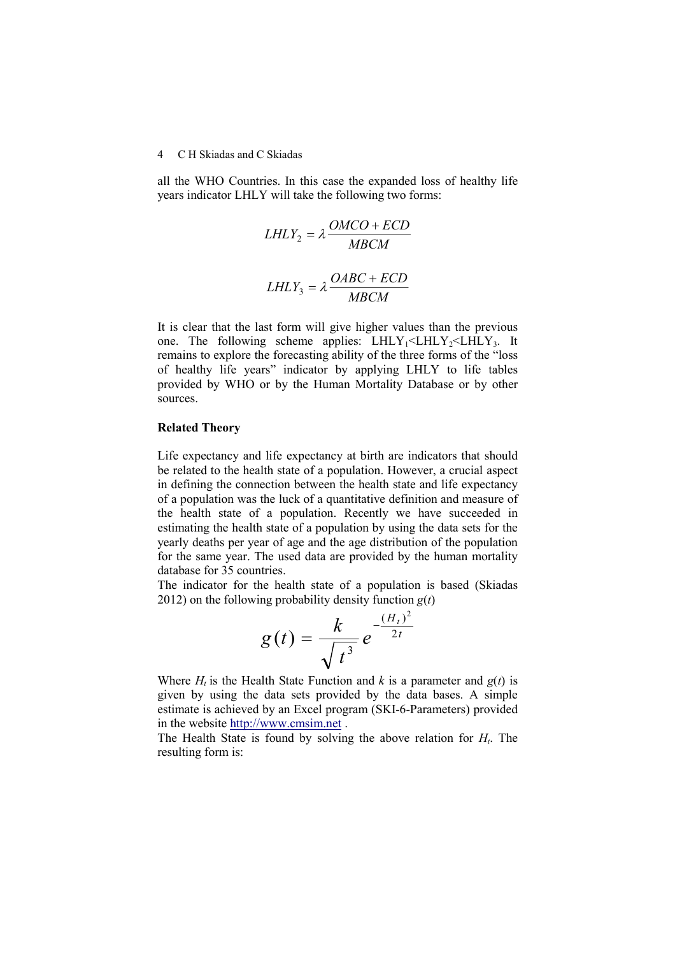all the WHO Countries. In this case the expanded loss of healthy life years indicator LHLY will take the following two forms:

$$
LHLY_2 = \lambda \frac{OMCO + ECD}{MBCM}
$$

$$
LHLY_3 = \lambda \frac{OABC + ECD}{MBCM}
$$

It is clear that the last form will give higher values than the previous one. The following scheme applies:  $LHLY_1 \leq LHLY_2 \leq LHLY_3$ . It remains to explore the forecasting ability of the three forms of the "loss of healthy life years" indicator by applying LHLY to life tables provided by WHO or by the Human Mortality Database or by other sources.

## **Related Theory**

Life expectancy and life expectancy at birth are indicators that should be related to the health state of a population. However, a crucial aspect in defining the connection between the health state and life expectancy of a population was the luck of a quantitative definition and measure of the health state of a population. Recently we have succeeded in estimating the health state of a population by using the data sets for the yearly deaths per year of age and the age distribution of the population for the same year. The used data are provided by the human mortality database for 35 countries.

The indicator for the health state of a population is based (Skiadas 2012) on the following probability density function  $g(t)$ 

$$
g(t) = \frac{k}{\sqrt{t^3}} e^{-\frac{(H_t)^2}{2t}}
$$

Where  $H_t$  is the Health State Function and  $k$  is a parameter and  $g(t)$  is given by using the data sets provided by the data bases. A simple estimate is achieved by an Excel program (SKI-6-Parameters) provided in the website http://www.cmsim.net .

The Health State is found by solving the above relation for *H<sup>t</sup>* . The resulting form is: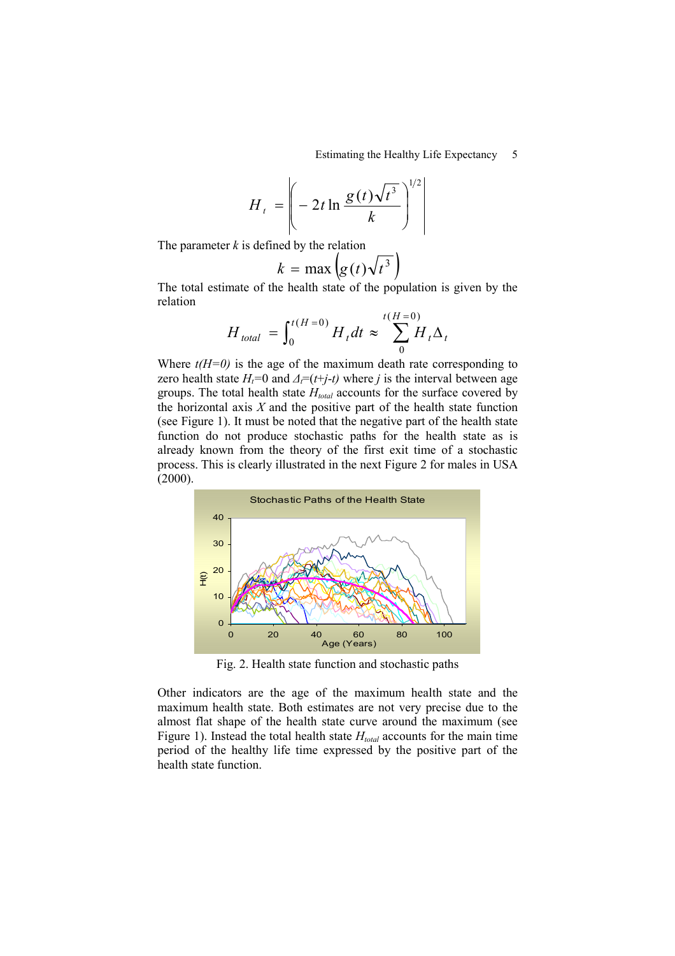$$
H_t = \left(-2t\ln\frac{g(t)\sqrt{t^3}}{k}\right)^{1/2}
$$

The parameter *k* is defined by the relation

$$
k = \max\left(g(t)\sqrt{t^3}\right)
$$

The total estimate of the health state of the population is given by the relation

$$
H_{\text{total}} = \int_0^{t(H=0)} H_t dt \approx \sum_0^{t(H=0)} H_t \Delta_t
$$

Where  $t(H=0)$  is the age of the maximum death rate corresponding to zero health state  $H_t=0$  and  $\Delta_t=(t+j-t)$  where *j* is the interval between age groups. The total health state *Htotal* accounts for the surface covered by the horizontal axis  $X$  and the positive part of the health state function (see Figure 1). It must be noted that the negative part of the health state function do not produce stochastic paths for the health state as is already known from the theory of the first exit time of a stochastic process. This is clearly illustrated in the next Figure 2 for males in USA  $(2000)$ .



Fig. 2. Health state function and stochastic paths

Other indicators are the age of the maximum health state and the maximum health state. Both estimates are not very precise due to the almost flat shape of the health state curve around the maximum (see Figure 1). Instead the total health state *Htotal* accounts for the main time period of the healthy life time expressed by the positive part of the health state function.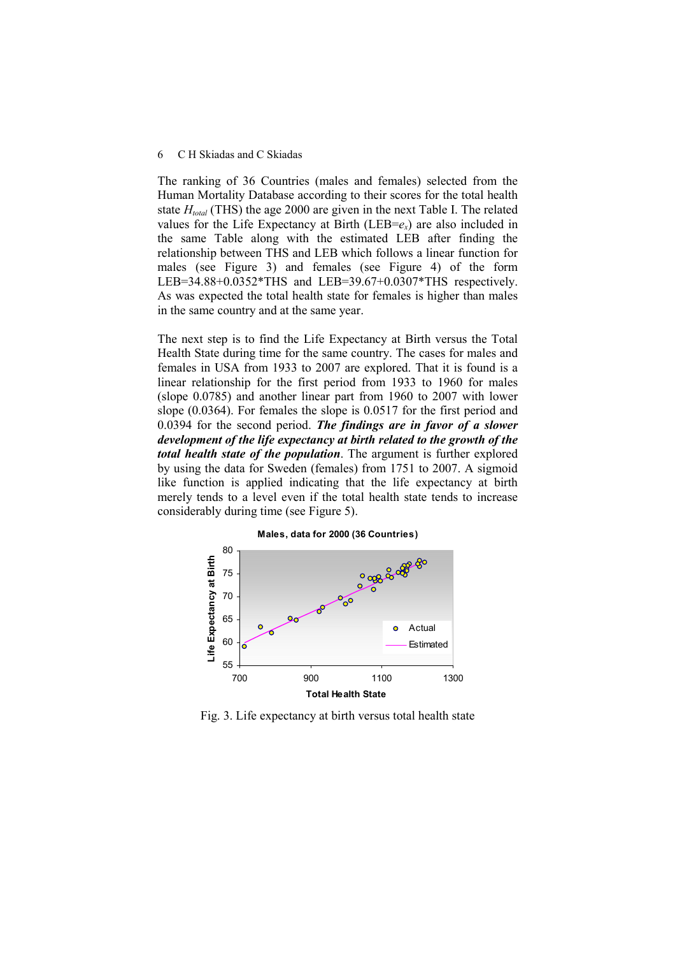The ranking of 36 Countries (males and females) selected from the Human Mortality Database according to their scores for the total health state *Htotal* (THS) the age 2000 are given in the next Table I. The related values for the Life Expectancy at Birth (LEB= $e_x$ ) are also included in the same Table along with the estimated LEB after finding the relationship between THS and LEB which follows a linear function for males (see Figure 3) and females (see Figure 4) of the form LEB=34.88+0.0352\*THS and LEB=39.67+0.0307\*THS respectively. As was expected the total health state for females is higher than males in the same country and at the same year.

The next step is to find the Life Expectancy at Birth versus the Total Health State during time for the same country. The cases for males and females in USA from 1933 to 2007 are explored. That it is found is a linear relationship for the first period from 1933 to 1960 for males (slope 0.0785) and another linear part from 1960 to 2007 with lower slope (0.0364). For females the slope is 0.0517 for the first period and 0.0394 for the second period. *The findings are in favor of a slower development of the life expectancy at birth related to the growth of the total health state of the population*. The argument is further explored by using the data for Sweden (females) from 1751 to 2007. A sigmoid like function is applied indicating that the life expectancy at birth merely tends to a level even if the total health state tends to increase considerably during time (see Figure 5).



Fig. 3. Life expectancy at birth versus total health state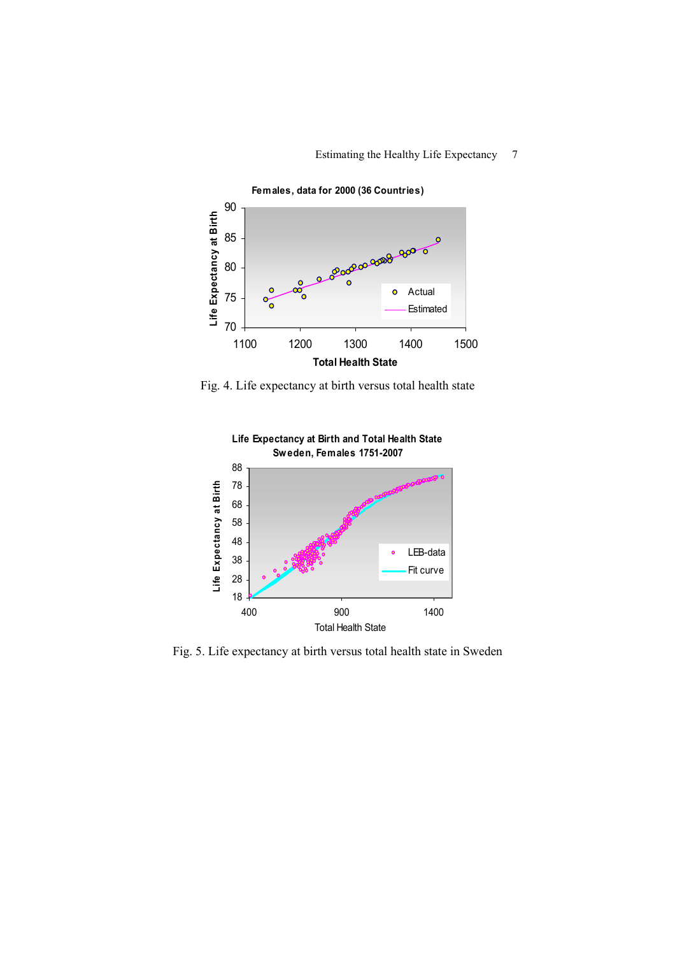

Fig. 4. Life expectancy at birth versus total health state



Fig. 5. Life expectancy at birth versus total health state in Sweden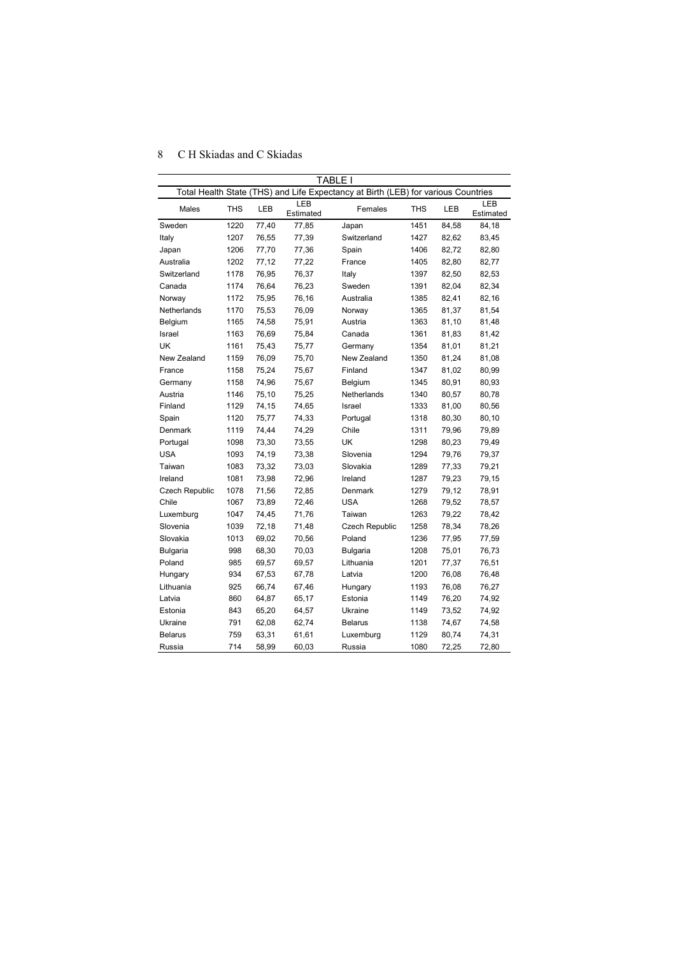| TABLE I               |                                                                                   |            |                  |                 |            |       |                  |  |  |  |  |
|-----------------------|-----------------------------------------------------------------------------------|------------|------------------|-----------------|------------|-------|------------------|--|--|--|--|
|                       | Total Health State (THS) and Life Expectancy at Birth (LEB) for various Countries |            |                  |                 |            |       |                  |  |  |  |  |
| Males                 | <b>THS</b>                                                                        | <b>LEB</b> | LEB<br>Estimated | Females         | <b>THS</b> | LEB   | LEB<br>Estimated |  |  |  |  |
| Sweden                | 1220                                                                              | 77,40      | 77,85            | Japan           | 1451       | 84,58 | 84,18            |  |  |  |  |
| Italy                 | 1207                                                                              | 76,55      | 77,39            | Switzerland     | 1427       | 82,62 | 83,45            |  |  |  |  |
| Japan                 | 1206                                                                              | 77,70      | 77,36            | Spain           | 1406       | 82,72 | 82,80            |  |  |  |  |
| Australia             | 1202                                                                              | 77,12      | 77,22            | France          | 1405       | 82,80 | 82,77            |  |  |  |  |
| Switzerland           | 1178                                                                              | 76,95      | 76,37            | Italy           | 1397       | 82,50 | 82,53            |  |  |  |  |
| Canada                | 1174                                                                              | 76,64      | 76,23            | Sweden          | 1391       | 82,04 | 82,34            |  |  |  |  |
| Norway                | 1172                                                                              | 75,95      | 76,16            | Australia       | 1385       | 82,41 | 82,16            |  |  |  |  |
| Netherlands           | 1170                                                                              | 75,53      | 76,09            | Norway          | 1365       | 81,37 | 81,54            |  |  |  |  |
| Belgium               | 1165                                                                              | 74,58      | 75,91            | Austria         | 1363       | 81,10 | 81,48            |  |  |  |  |
| Israel                | 1163                                                                              | 76,69      | 75,84            | Canada          | 1361       | 81,83 | 81,42            |  |  |  |  |
| UK                    | 1161                                                                              | 75,43      | 75,77            | Germany         | 1354       | 81,01 | 81,21            |  |  |  |  |
| New Zealand           | 1159                                                                              | 76,09      | 75,70            | New Zealand     | 1350       | 81,24 | 81,08            |  |  |  |  |
| France                | 1158                                                                              | 75,24      | 75,67            | Finland         | 1347       | 81,02 | 80,99            |  |  |  |  |
| Germany               | 1158                                                                              | 74,96      | 75,67            | Belgium         | 1345       | 80,91 | 80,93            |  |  |  |  |
| Austria               | 1146                                                                              | 75,10      | 75,25            | Netherlands     | 1340       | 80,57 | 80,78            |  |  |  |  |
| Finland               | 1129                                                                              | 74,15      | 74,65            | Israel          | 1333       | 81,00 | 80,56            |  |  |  |  |
| Spain                 | 1120                                                                              | 75,77      | 74,33            | Portugal        | 1318       | 80,30 | 80,10            |  |  |  |  |
| Denmark               | 1119                                                                              | 74,44      | 74,29            | Chile           | 1311       | 79,96 | 79,89            |  |  |  |  |
| Portugal              | 1098                                                                              | 73,30      | 73,55            | UK              | 1298       | 80,23 | 79,49            |  |  |  |  |
| <b>USA</b>            | 1093                                                                              | 74,19      | 73,38            | Slovenia        | 1294       | 79,76 | 79,37            |  |  |  |  |
| Taiwan                | 1083                                                                              | 73,32      | 73,03            | Slovakia        | 1289       | 77,33 | 79,21            |  |  |  |  |
| Ireland               | 1081                                                                              | 73,98      | 72,96            | Ireland         | 1287       | 79,23 | 79,15            |  |  |  |  |
| <b>Czech Republic</b> | 1078                                                                              | 71,56      | 72,85            | Denmark         | 1279       | 79,12 | 78,91            |  |  |  |  |
| Chile                 | 1067                                                                              | 73,89      | 72,46            | <b>USA</b>      | 1268       | 79,52 | 78,57            |  |  |  |  |
| Luxemburg             | 1047                                                                              | 74,45      | 71,76            | Taiwan          | 1263       | 79,22 | 78,42            |  |  |  |  |
| Slovenia              | 1039                                                                              | 72,18      | 71,48            | Czech Republic  | 1258       | 78,34 | 78,26            |  |  |  |  |
| Slovakia              | 1013                                                                              | 69,02      | 70,56            | Poland          | 1236       | 77,95 | 77,59            |  |  |  |  |
| Bulgaria              | 998                                                                               | 68,30      | 70,03            | <b>Bulgaria</b> | 1208       | 75,01 | 76,73            |  |  |  |  |
| Poland                | 985                                                                               | 69,57      | 69,57            | Lithuania       | 1201       | 77,37 | 76,51            |  |  |  |  |
| Hungary               | 934                                                                               | 67,53      | 67,78            | Latvia          | 1200       | 76,08 | 76,48            |  |  |  |  |
| Lithuania             | 925                                                                               | 66,74      | 67,46            | Hungary         | 1193       | 76,08 | 76,27            |  |  |  |  |
| Latvia                | 860                                                                               | 64,87      | 65,17            | Estonia         | 1149       | 76,20 | 74,92            |  |  |  |  |
| Estonia               | 843                                                                               | 65,20      | 64,57            | Ukraine         | 1149       | 73,52 | 74,92            |  |  |  |  |
| Ukraine               | 791                                                                               | 62,08      | 62,74            | <b>Belarus</b>  | 1138       | 74,67 | 74,58            |  |  |  |  |
| <b>Belarus</b>        | 759                                                                               | 63,31      | 61,61            | Luxemburg       | 1129       | 80,74 | 74,31            |  |  |  |  |
| Russia                | 714                                                                               | 58,99      | 60,03            | Russia          | 1080       | 72,25 | 72,80            |  |  |  |  |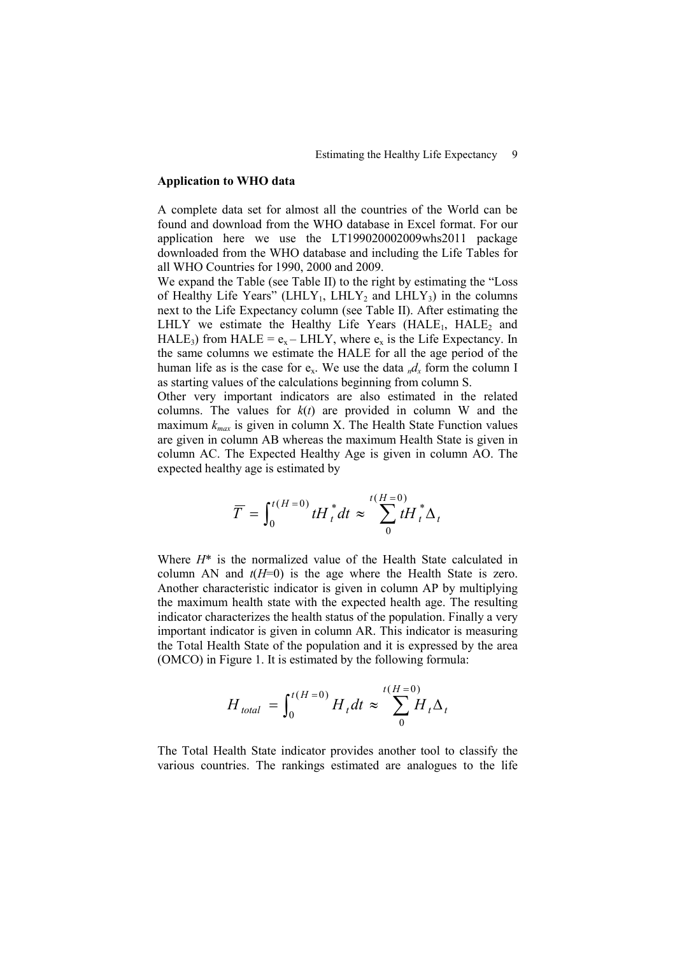#### **Application to WHO data**

A complete data set for almost all the countries of the World can be found and download from the WHO database in Excel format. For our application here we use the LT199020002009whs2011 package downloaded from the WHO database and including the Life Tables for all WHO Countries for 1990, 2000 and 2009.

We expand the Table (see Table II) to the right by estimating the "Loss of Healthy Life Years" (LHLY<sub>1</sub>, LHLY<sub>2</sub> and LHLY<sub>3</sub>) in the columns next to the Life Expectancy column (see Table II). After estimating the LHLY we estimate the Healthy Life Years  $(HALE<sub>1</sub>, HALE<sub>2</sub>$  and HALE<sub>3</sub>) from HALE =  $e_x$  – LHLY, where  $e_x$  is the Life Expectancy. In the same columns we estimate the HALE for all the age period of the human life as is the case for  $e_x$ . We use the data  $_n d_x$  form the column I as starting values of the calculations beginning from column S.

Other very important indicators are also estimated in the related columns. The values for  $k(t)$  are provided in column W and the maximum  $k_{max}$  is given in column X. The Health State Function values are given in column AB whereas the maximum Health State is given in column AC. The Expected Healthy Age is given in column AO. The expected healthy age is estimated by

$$
\overline{T} = \int_0^{t(H=0)} t H_t^* dt \approx \sum_{0}^{t(H=0)} t H_t^* \Delta_t
$$

Where  $H^*$  is the normalized value of the Health State calculated in column AN and  $t(H=0)$  is the age where the Health State is zero. Another characteristic indicator is given in column AP by multiplying the maximum health state with the expected health age. The resulting indicator characterizes the health status of the population. Finally a very important indicator is given in column AR. This indicator is measuring the Total Health State of the population and it is expressed by the area (OMCO) in Figure 1. It is estimated by the following formula:

$$
H_{\text{total}} = \int_0^{t(H=0)} H_t dt \approx \sum_{0}^{t(H=0)} H_t \Delta_t
$$

The Total Health State indicator provides another tool to classify the various countries. The rankings estimated are analogues to the life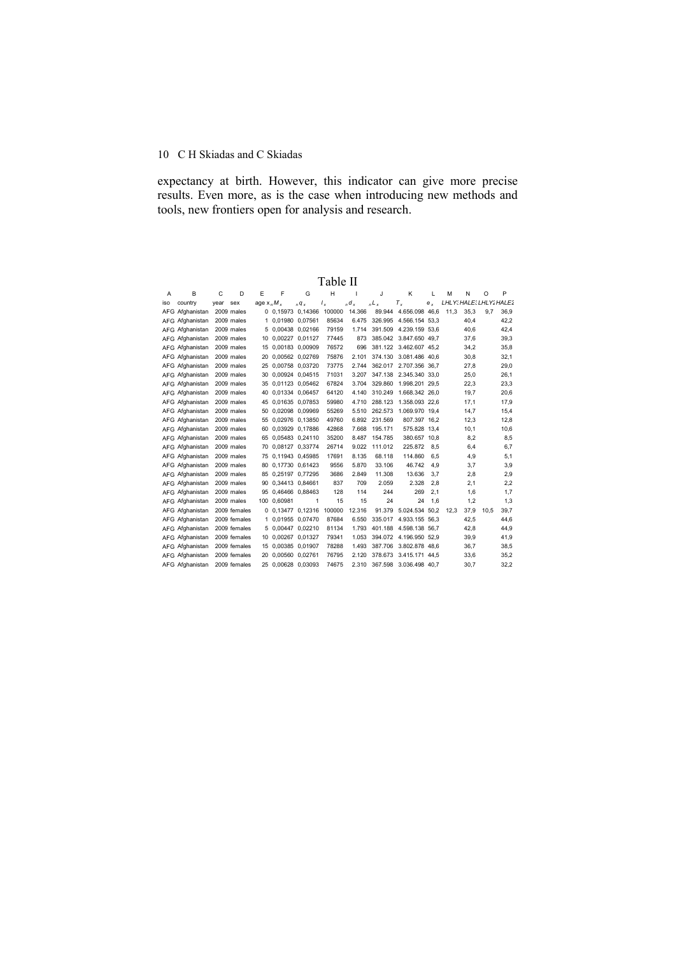expectancy at birth. However, this indicator can give more precise results. Even more, as is the case when introducing new methods and tools, new frontiers open for analysis and research.

| A   | B               | C    | D            | E             | F                  | G                  | н      | ш      | J       | Κ                      | L       | м                       | N    | O    | P    |
|-----|-----------------|------|--------------|---------------|--------------------|--------------------|--------|--------|---------|------------------------|---------|-------------------------|------|------|------|
| iso | country         | vear | sex          | age $x_n M_x$ |                    | $nq_{x}$           | $I_x$  | $d_x$  | $L_{x}$ | $T_{x}$                | $e_{x}$ | LHLY: HALE: LHLY: HALE: |      |      |      |
|     | AFG Afghanistan |      | 2009 males   |               |                    | 0 0,15973 0,14366  | 100000 | 14.366 | 89.944  | 4.656.098 46,6         |         | 11,3                    | 35,3 | 9.7  | 36,9 |
|     | AFG Afghanistan |      | 2009 males   |               | 1 0,01980 0,07561  |                    | 85634  | 6.475  |         | 326.995 4.566.154 53.3 |         |                         | 40.4 |      | 42,2 |
|     | AFG Afghanistan |      | 2009 males   |               | 5 0,00438 0,02166  |                    | 79159  | 1.714  |         | 391.509 4.239.159 53,6 |         |                         | 40,6 |      | 42,4 |
|     | AFG Afghanistan |      | 2009 males   | 10            | 0.00227 0.01127    |                    | 77445  | 873    |         | 385.042 3.847.650 49.7 |         |                         | 37,6 |      | 39,3 |
|     | AFG Afghanistan |      | 2009 males   | 15            | 0,00183 0,00909    |                    | 76572  | 696    |         | 381.122 3.462.607 45,2 |         |                         | 34,2 |      | 35,8 |
|     | AFG Afghanistan |      | 2009 males   | 20            | 0,00562 0,02769    |                    | 75876  | 2.101  | 374.130 | 3.081.486 40.6         |         |                         | 30,8 |      | 32,1 |
|     | AFG Afghanistan |      | 2009 males   | 25            | 0.00758 0.03720    |                    | 73775  | 2.744  | 362.017 | 2.707.356 36.7         |         |                         | 27,8 |      | 29,0 |
|     | AFG Afghanistan |      | 2009 males   | 30            | 0.00924 0.04515    |                    | 71031  | 3.207  | 347.138 | 2.345.340 33.0         |         |                         | 25,0 |      | 26.1 |
|     | AFG Afghanistan |      | 2009 males   |               |                    | 35 0,01123 0,05462 | 67824  | 3.704  | 329,860 | 1.998.201 29,5         |         |                         | 22,3 |      | 23,3 |
|     | AFG Afghanistan |      | 2009 males   | 40            |                    | 0,01334 0,06457    | 64120  | 4.140  | 310.249 | 1.668.342 26,0         |         |                         | 19,7 |      | 20,6 |
|     | AFG Afghanistan |      | 2009 males   |               | 45 0,01635 0,07853 |                    | 59980  | 4.710  | 288.123 | 1.358.093 22.6         |         |                         | 17,1 |      | 17,9 |
|     | AFG Afghanistan |      | 2009 males   | 50.           | 0,02098 0,09969    |                    | 55269  | 5.510  | 262.573 | 1.069.970 19.4         |         |                         | 14,7 |      | 15,4 |
|     | AFG Afghanistan |      | 2009 males   | 55            |                    | 0.02976 0.13850    | 49760  | 6.892  | 231.569 | 807.397 16,2           |         |                         | 12,3 |      | 12,8 |
|     | AFG Afghanistan |      | 2009 males   | 60            | 0,03929 0,17886    |                    | 42868  | 7.668  | 195.171 | 575.828 13,4           |         |                         | 10,1 |      | 10,6 |
|     | AFG Afghanistan |      | 2009 males   | 65            | 0,05483 0,24110    |                    | 35200  | 8.487  | 154.785 | 380.657 10.8           |         |                         | 8,2  |      | 8,5  |
|     | AFG Afghanistan |      | 2009 males   |               |                    | 70 0.08127 0.33774 | 26714  | 9.022  | 111.012 | 225.872                | 8.5     |                         | 6.4  |      | 6,7  |
|     | AFG Afghanistan |      | 2009 males   |               | 75 0.11943 0.45985 |                    | 17691  | 8.135  | 68.118  | 114.860                | 6,5     |                         | 4,9  |      | 5,1  |
|     | AFG Afghanistan |      | 2009 males   | 80            |                    | 0.17730 0.61423    | 9556   | 5.870  | 33.106  | 46.742                 | 4.9     |                         | 3,7  |      | 3,9  |
|     | AFG Afghanistan |      | 2009 males   |               |                    | 85 0,25197 0,77295 | 3686   | 2.849  | 11.308  | 13.636                 | 3.7     |                         | 2,8  |      | 2,9  |
|     | AFG Afghanistan |      | 2009 males   |               | 90 0,34413 0,84661 |                    | 837    | 709    | 2.059   | 2.328                  | 2,8     |                         | 2,1  |      | 2,2  |
|     | AFG Afghanistan |      | 2009 males   | 95            |                    | 0.46466 0.88463    | 128    | 114    | 244     | 269                    | 2.1     |                         | 1,6  |      | 1,7  |
|     | AFG Afghanistan |      | 2009 males   |               | 100 0.60981        | 1                  | 15     | 15     | 24      | 24                     | 1.6     |                         | 1,2  |      | 1,3  |
|     | AFG Afghanistan |      | 2009 females |               |                    | 0 0.13477 0.12316  | 100000 | 12.316 | 91.379  | 5.024.534 50.2         |         | 12.3                    | 37,9 | 10.5 | 39.7 |
|     | AFG Afghanistan |      | 2009 females |               | 1 0,01955 0,07470  |                    | 87684  | 6.550  | 335.017 | 4.933.155 56,3         |         |                         | 42,5 |      | 44,6 |
|     | AFG Afghanistan |      | 2009 females |               | 5 0,00447 0,02210  |                    | 81134  | 1.793  |         | 401.188 4.598.138 56,7 |         |                         | 42,8 |      | 44,9 |
|     | AFG Afghanistan |      | 2009 females | 10            | 0.00267 0.01327    |                    | 79341  | 1.053  |         | 394.072 4.196.950 52.9 |         |                         | 39,9 |      | 41,9 |
|     | AFG Afghanistan |      | 2009 females | 15            | 0.00385 0.01907    |                    | 78288  | 1.493  |         | 387.706 3.802.878 48.6 |         |                         | 36,7 |      | 38,5 |
|     | AFG Afghanistan |      | 2009 females | 20.           | 0,00560 0,02761    |                    | 76795  | 2.120  | 378.673 | 3.415.171 44,5         |         |                         | 33,6 |      | 35,2 |
|     | AFG Afghanistan |      | 2009 females |               | 25 0,00628 0,03093 |                    | 74675  | 2.310  | 367.598 | 3.036.498 40.7         |         |                         | 30.7 |      | 32,2 |

Table II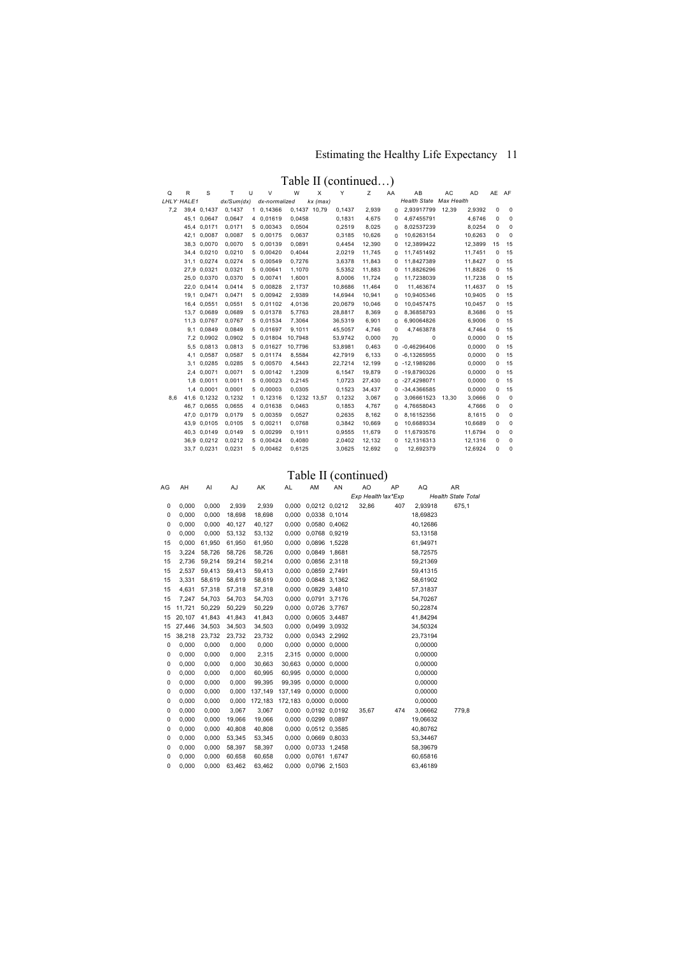# Estimating the Healthy Life Expectancy 11

Table II (continued…)

| Q          | R | S           | T.         | U  | V             | W            | X          | Y       | Ζ      | AA       | AB                  | AC         | AD      | AE AF |             |
|------------|---|-------------|------------|----|---------------|--------------|------------|---------|--------|----------|---------------------|------------|---------|-------|-------------|
| LHLY HALE1 |   |             | dx/Sum(dx) |    | dx-normalized |              | $kx$ (max) |         |        |          | <b>Health State</b> | Max Health |         |       |             |
| 7,2        |   | 39,4 0,1437 | 0,1437     |    | 1 0,14366     | 0.1437 10.79 |            | 0,1437  | 2,939  | $\Omega$ | 2.93917799          | 12,39      | 2,9392  | 0     | 0           |
|            |   | 45,1 0,0647 | 0.0647     | 4  | 0.01619       | 0,0458       |            | 0,1831  | 4.675  | $\Omega$ | 4,67455791          |            | 4.6746  | 0     | 0           |
|            |   | 45,4 0,0171 | 0,0171     | 5  | 0,00343       | 0,0504       |            | 0,2519  | 8,025  | 0        | 8,02537239          |            | 8,0254  | 0     | 0           |
|            |   | 42.1 0.0087 | 0.0087     | 5. | 0.00175       | 0,0637       |            | 0,3185  | 10.626 | $\Omega$ | 10,6263154          |            | 10.6263 | 0     | 0           |
|            |   | 38,3 0,0070 | 0,0070     | 5  | 0,00139       | 0,0891       |            | 0,4454  | 12,390 | $\Omega$ | 12,3899422          |            | 12,3899 | 15    | 15          |
|            |   | 34,4 0,0210 | 0,0210     | 5  | 0,00420       | 0,4044       |            | 2,0219  | 11,745 | $\Omega$ | 11,7451492          |            | 11,7451 | 0     | 15          |
|            |   | 31,1 0,0274 | 0,0274     | 5. | 0.00549       | 0,7276       |            | 3,6378  | 11,843 | $\Omega$ | 11,8427389          |            | 11,8427 | 0     | 15          |
|            |   | 27.9 0.0321 | 0,0321     | 5  | 0.00641       | 1,1070       |            | 5.5352  | 11,883 | 0        | 11,8826296          |            | 11,8826 | 0     | 15          |
|            |   | 25,0 0,0370 | 0,0370     | 5  | 0.00741       | 1,6001       |            | 8,0006  | 11,724 | 0        | 11,7238039          |            | 11,7238 | 0     | 15          |
|            |   | 22.0 0.0414 | 0.0414     | 5  | 0.00828       | 2,1737       |            | 10.8686 | 11.464 | $\Omega$ | 11,463674           |            | 11.4637 | 0     | 15          |
|            |   | 19.1 0.0471 | 0,0471     | 5. | 0,00942       | 2,9389       |            | 14.6944 | 10,941 | 0        | 10,9405346          |            | 10,9405 | 0     | 15          |
|            |   | 16,4 0,0551 | 0,0551     | 5  | 0,01102       | 4,0136       |            | 20,0679 | 10,046 | 0        | 10,0457475          |            | 10,0457 | 0     | 15          |
|            |   | 13.7 0.0689 | 0,0689     |    | 5 0.01378     | 5,7763       |            | 28.8817 | 8,369  | 0        | 8.36858793          |            | 8.3686  | 0     | 15          |
|            |   | 11,3 0,0767 | 0,0767     | 5  | 0.01534       | 7,3064       |            | 36,5319 | 6,901  | $\Omega$ | 6,90064826          |            | 6,9006  | 0     | 15          |
|            |   | 9,1 0,0849  | 0,0849     | 5  | 0,01697       | 9,1011       |            | 45,5057 | 4,746  | 0        | 4,7463878           |            | 4,7464  | 0     | 15          |
|            |   | 7.2 0.0902  | 0,0902     |    | 5 0.01804     | 10.7948      |            | 53,9742 | 0,000  | 70       | 0                   |            | 0.0000  | 0     | 15          |
|            |   | 5,5 0,0813  | 0,0813     | 5  | 0,01627       | 10,7796      |            | 53,8981 | 0,463  | $\Omega$ | $-0,46296406$       |            | 0.0000  | 0     | 15          |
|            |   | 4,1 0,0587  | 0,0587     | 5  | 0,01174       | 8,5584       |            | 42,7919 | 6,133  | 0        | $-6,13265955$       |            | 0,0000  | 0     | 15          |
|            |   | 3.1 0.0285  | 0.0285     | 5  | 0.00570       | 4,5443       |            | 22.7214 | 12.199 | 0        | $-12,1989286$       |            | 0.0000  | 0     | 15          |
|            |   | 2,4 0,0071  | 0,0071     | 5  | 0,00142       | 1,2309       |            | 6,1547  | 19,879 | 0        | -19,8790326         |            | 0,0000  | 0     | 15          |
|            |   | 1,8 0,0011  | 0,0011     | 5. | 0,00023       | 0,2145       |            | 1,0723  | 27,430 | 0        | $-27,4298071$       |            | 0,0000  | 0     | 15          |
|            |   | 1.4 0.0001  | 0.0001     | 5. | 0.00003       | 0,0305       |            | 0.1523  | 34.437 | 0        | -34.4366585         |            | 0.0000  | 0     | 15          |
| 8,6        |   | 41,6 0,1232 | 0,1232     | 1. | 0,12316       | 0,1232 13,57 |            | 0,1232  | 3,067  | 0        | 3,06661523          | 13,30      | 3,0666  | 0     | 0           |
|            |   | 46,7 0,0655 | 0.0655     | 4  | 0.01638       | 0,0463       |            | 0,1853  | 4,767  | 0        | 4,76658043          |            | 4,7666  | 0     | 0           |
|            |   | 47.0 0.0179 | 0,0179     | 5  | 0,00359       | 0,0527       |            | 0,2635  | 8,162  | 0        | 8,16152356          |            | 8,1615  | 0     | 0           |
|            |   | 43.9 0.0105 | 0,0105     | 5  | 0,00211       | 0,0768       |            | 0,3842  | 10,669 | $\Omega$ | 10,6689334          |            | 10,6689 | 0     | 0           |
|            |   | 40,3 0,0149 | 0,0149     | 5  | 0,00299       | 0,1911       |            | 0,9555  | 11,679 | 0        | 11,6793576          |            | 11,6794 | 0     | 0           |
|            |   | 36.9 0.0212 | 0,0212     | 5. | 0.00424       | 0,4080       |            | 2.0402  | 12,132 | $\Omega$ | 12,1316313          |            | 12,1316 | 0     | 0           |
|            |   | 33,7 0,0231 | 0,0231     | 5  | 0,00462       | 0,6125       |            | 3,0625  | 12,692 | 0        | 12,692379           |            | 12,6924 | 0     | $\mathbf 0$ |

# Table II (continued)

| AG | AH     | AI     | AJ     | AK      | AL      | AM            | AN | AO                 | AP  | AQ       | AR                        |
|----|--------|--------|--------|---------|---------|---------------|----|--------------------|-----|----------|---------------------------|
|    |        |        |        |         |         |               |    | Exp Health lax*Exp |     |          | <b>Health State Total</b> |
| 0  | 0,000  | 0,000  | 2,939  | 2,939   | 0,000   | 0,0212 0,0212 |    | 32,86              | 407 | 2,93918  | 675,1                     |
| 0  | 0,000  | 0,000  | 18,698 | 18,698  | 0,000   | 0,0338 0,1014 |    |                    |     | 18,69823 |                           |
| 0  | 0,000  | 0,000  | 40,127 | 40,127  | 0,000   | 0,0580 0,4062 |    |                    |     | 40,12686 |                           |
| 0  | 0,000  | 0,000  | 53,132 | 53,132  | 0,000   | 0,0768 0,9219 |    |                    |     | 53,13158 |                           |
| 15 | 0,000  | 61,950 | 61,950 | 61,950  | 0,000   | 0,0896 1,5228 |    |                    |     | 61,94971 |                           |
| 15 | 3,224  | 58,726 | 58,726 | 58,726  | 0,000   | 0,0849 1,8681 |    |                    |     | 58,72575 |                           |
| 15 | 2,736  | 59,214 | 59,214 | 59,214  | 0,000   | 0,0856 2,3118 |    |                    |     | 59,21369 |                           |
| 15 | 2,537  | 59,413 | 59,413 | 59,413  | 0,000   | 0,0859 2,7491 |    |                    |     | 59,41315 |                           |
| 15 | 3,331  | 58,619 | 58,619 | 58,619  | 0,000   | 0,0848 3,1362 |    |                    |     | 58,61902 |                           |
| 15 | 4,631  | 57,318 | 57,318 | 57,318  | 0,000   | 0,0829 3,4810 |    |                    |     | 57,31837 |                           |
| 15 | 7,247  | 54,703 | 54,703 | 54,703  | 0,000   | 0,0791 3,7176 |    |                    |     | 54,70267 |                           |
| 15 | 11,721 | 50,229 | 50,229 | 50,229  | 0,000   | 0,0726 3,7767 |    |                    |     | 50,22874 |                           |
| 15 | 20,107 | 41,843 | 41,843 | 41,843  | 0,000   | 0,0605 3,4487 |    |                    |     | 41,84294 |                           |
| 15 | 27,446 | 34,503 | 34,503 | 34,503  | 0,000   | 0,0499 3,0932 |    |                    |     | 34,50324 |                           |
| 15 | 38,218 | 23,732 | 23,732 | 23,732  | 0,000   | 0,0343 2,2992 |    |                    |     | 23,73194 |                           |
| 0  | 0,000  | 0,000  | 0,000  | 0,000   | 0,000   | 0,0000 0,0000 |    |                    |     | 0,00000  |                           |
| 0  | 0,000  | 0,000  | 0,000  | 2,315   | 2,315   | 0,0000 0,0000 |    |                    |     | 0,00000  |                           |
| 0  | 0.000  | 0,000  | 0,000  | 30,663  | 30.663  | 0,0000 0,0000 |    |                    |     | 0,00000  |                           |
| 0  | 0,000  | 0,000  | 0,000  | 60,995  | 60.995  | 0,0000 0,0000 |    |                    |     | 0,00000  |                           |
| 0  | 0,000  | 0,000  | 0,000  | 99,395  | 99,395  | 0,0000 0,0000 |    |                    |     | 0,00000  |                           |
| 0  | 0,000  | 0,000  | 0,000  | 137,149 | 137,149 | 0,0000 0,0000 |    |                    |     | 0,00000  |                           |
| 0  | 0,000  | 0,000  | 0,000  | 172,183 | 172,183 | 0,0000 0,0000 |    |                    |     | 0,00000  |                           |
| 0  | 0,000  | 0,000  | 3,067  | 3,067   | 0,000   | 0,0192 0,0192 |    | 35,67              | 474 | 3,06662  | 779,8                     |
| 0  | 0,000  | 0,000  | 19,066 | 19,066  | 0,000   | 0,0299 0,0897 |    |                    |     | 19,06632 |                           |
| 0  | 0.000  | 0,000  | 40,808 | 40,808  | 0,000   | 0,0512 0,3585 |    |                    |     | 40,80762 |                           |
| 0  | 0,000  | 0,000  | 53,345 | 53,345  | 0,000   | 0,0669 0,8033 |    |                    |     | 53,34467 |                           |
| 0  | 0,000  | 0,000  | 58,397 | 58,397  | 0,000   | 0,0733 1,2458 |    |                    |     | 58,39679 |                           |
| 0  | 0,000  | 0,000  | 60,658 | 60,658  | 0,000   | 0,0761 1,6747 |    |                    |     | 60,65816 |                           |
| 0  | 0,000  | 0,000  | 63,462 | 63,462  | 0.000   | 0,0796 2,1503 |    |                    |     | 63,46189 |                           |
|    |        |        |        |         |         |               |    |                    |     |          |                           |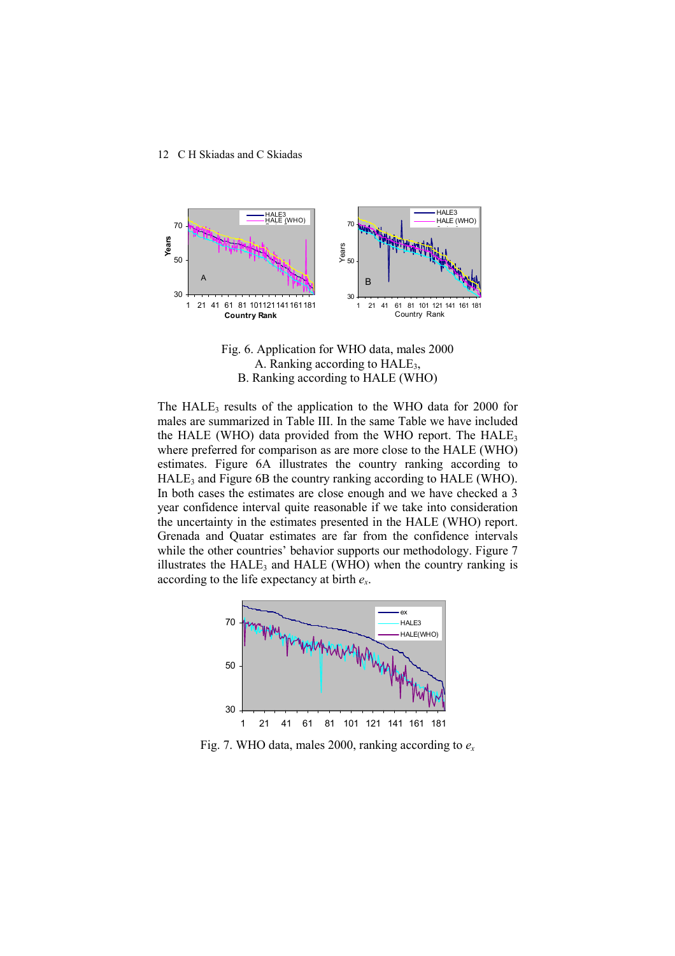



The  $HALE_3$  results of the application to the WHO data for 2000 for males are summarized in Table III. In the same Table we have included the HALE (WHO) data provided from the WHO report. The  $HALE<sub>3</sub>$ where preferred for comparison as are more close to the HALE (WHO) estimates. Figure 6A illustrates the country ranking according to HALE<sub>3</sub> and Figure 6B the country ranking according to HALE (WHO). In both cases the estimates are close enough and we have checked a 3 year confidence interval quite reasonable if we take into consideration the uncertainty in the estimates presented in the HALE (WHO) report. Grenada and Quatar estimates are far from the confidence intervals while the other countries' behavior supports our methodology. Figure 7 illustrates the  $HALE_3$  and  $HALE$  (WHO) when the country ranking is according to the life expectancy at birth *e<sup>x</sup>* .



Fig. 7. WHO data, males 2000, ranking according to *ex*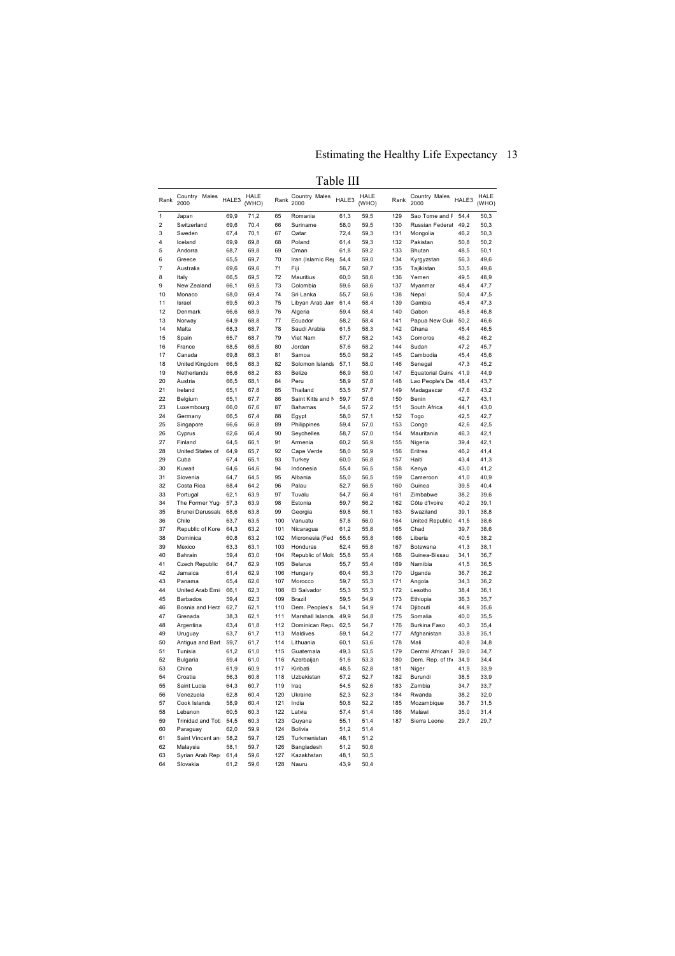# Estimating the Healthy Life Expectancy 13

 $\overline{a}$ 

| × |  |
|---|--|
|---|--|

| Rank           | Country Males<br>2000       | HALE3        | <b>HALE</b><br>(WHO) | Rank       | Country Males<br>2000       | HALE3        | <b>HALE</b><br>(WHO) | Rank       | Country Males<br>2000 | HALE3        | HALE<br>(WHO) |
|----------------|-----------------------------|--------------|----------------------|------------|-----------------------------|--------------|----------------------|------------|-----------------------|--------------|---------------|
| $\mathbf{1}$   | Japan                       | 69,9         | 71,2                 | 65         | Romania                     | 61,3         | 59,5                 | 129        | Sao Tome and F        | 54,4         | 50,3          |
| $\overline{2}$ | Switzerland                 | 69,6         | 70,4                 | 66         | Suriname                    | 58.0         | 59,5                 | 130        | Russian Federal       | 49,2         | 50,3          |
| 3              | Sweden                      | 67,4         | 70,1                 | 67         | Qatar                       | 72,4         | 59,3                 | 131        | Mongolia              | 46,2         | 50,3          |
| 4              | Iceland                     | 69,9         | 69,8                 | 68         | Poland                      | 61,4         | 59,3                 | 132        | Pakistan              | 50,8         | 50,2          |
| 5              | Andorra                     | 68,7         | 69,8                 | 69         | Oman                        | 61,8         | 59,2                 | 133        | Bhutan                | 48,5         | 50,1          |
| 6              | Greece                      | 65,5         | 69,7                 | 70         | Iran (Islamic Rej           | 54,4         | 59,0                 | 134        | Kyrgyzstan            | 56,3         | 49,6          |
| 7              | Australia                   | 69,6         | 69,6                 | 71         | Fiji                        | 56,7         | 58,7                 | 135        | Tajikistan            | 53,5         | 49,6          |
| 8              | Italy                       | 66,5         | 69,5                 | 72         | Mauritius                   | 60,0         | 58,6                 | 136        | Yemen                 | 49,5         | 48,9          |
| 9              | New Zealand                 | 66,1         | 69,5                 | 73         | Colombia                    | 59,6         | 58,6                 | 137        | Myanmar               | 48,4         | 47,7          |
| 10             | Monaco                      | 68,0         | 69,4                 | 74         | Sri Lanka                   | 55,7         | 58,6                 | 138        | Nepal                 | 50,4         | 47,5          |
| 11             | Israel                      | 69,5         | 69,3                 | 75         | Libyan Arab Jan             | 61,4         | 58,4                 | 139        | Gambia                | 45,4         | 47,3          |
| 12             | Denmark                     | 66,6         | 68,9                 | 76         | Algeria                     | 59,4         | 58,4                 | 140        | Gabon                 | 45,8         | 46,8          |
| 13<br>14       | Norway                      | 64,9         | 68,8                 | 77<br>78   | Ecuador                     | 58,2         | 58.4                 | 141<br>142 | Papua New Guir        | 50,2         | 46,6          |
| 15             | Malta                       | 68,3         | 68,7                 | 79         | Saudi Arabia<br>Viet Nam    | 61,5         | 58,3                 | 143        | Ghana                 | 45,4         | 46,5          |
| 16             | Spain<br>France             | 65,7         | 68,7                 | 80         | Jordan                      | 57,7<br>57,6 | 58,2<br>58,2         | 144        | Comoros<br>Sudan      | 46,2<br>47,2 | 46,2<br>45,7  |
| 17             | Canada                      | 68,5<br>69.8 | 68,5<br>68,3         | 81         | Samoa                       | 55,0         | 58,2                 | 145        | Cambodia              | 45,4         | 45,6          |
| 18             | United Kingdom              | 66,5         | 68,3                 | 82         | Solomon Islands             | 57,1         | 58,0                 | 146        | Senegal               | 47,3         | 45,2          |
| 19             | Netherlands                 | 66,6         | 68,2                 | 83         | Belize                      | 56,9         | 58,0                 | 147        | Equatorial Guine      | 41,9         | 44,9          |
| 20             | Austria                     | 66,5         | 68,1                 | 84         | Peru                        | 58,9         | 57,8                 | 148        | Lao People's De       | 48,4         | 43,7          |
| 21             | Ireland                     | 65,1         | 67,8                 | 85         | Thailand                    | 53,5         | 57,7                 | 149        | Madagascar            | 47,6         | 43,2          |
| 22             | Belgium                     | 65,1         | 67,7                 | 86         | Saint Kitts and N           | 59,7         | 57,6                 | 150        | Benin                 | 42,7         | 43,1          |
| 23             | Luxembourg                  | 66,0         | 67,6                 | 87         | <b>Bahamas</b>              | 54,6         | 57,2                 | 151        | South Africa          | 44,1         | 43,0          |
| 24             | Germany                     | 66,5         | 67,4                 | 88         | Egypt                       | 58,0         | 57,1                 | 152        | Togo                  | 42,5         | 42,7          |
| 25             | Singapore                   | 66,6         | 66,8                 | 89         | Philippines                 | 59,4         | 57,0                 | 153        | Congo                 | 42,6         | 42,5          |
| 26             | Cyprus                      | 62,6         | 66,4                 | 90         | Seychelles                  | 58,7         | 57,0                 | 154        | Mauritania            | 46,3         | 42,1          |
| 27             | Finland                     | 64,5         | 66,1                 | 91         | Armenia                     | 60,2         | 56,9                 | 155        | Nigeria               | 39,4         | 42,1          |
| 28             | United States of            | 64,9         | 65,7                 | 92         | Cape Verde                  | 58,0         | 56,9                 | 156        | Eritrea               | 46,2         | 41,4          |
| 29             | Cuba                        | 67,4         | 65,1                 | 93         | Turkey                      | 60,0         | 56,8                 | 157        | Haiti                 | 43,4         | 41,3          |
| 30             | Kuwait                      | 64,6         | 64,6                 | 94         | Indonesia                   | 55,4         | 56,5                 | 158        | Kenya                 | 43,0         | 41,2          |
| 31             | Slovenia                    | 64,7         | 64,5                 | 95         | Albania                     | 55,0         | 56,5                 | 159        | Cameroon              | 41,0         | 40,9          |
| 32             | Costa Rica                  | 68,4         | 64,2                 | 96         | Palau                       | 52,7         | 56,5                 | 160        | Guinea                | 39,5         | 40,4          |
| 33             | Portugal                    | 62,1         | 63,9                 | 97         | Tuvalu                      | 54,7         | 56,4                 | 161        | Zimbabwe              | 38,2         | 39,6          |
| 34             | The Former Yugo             | 57,3         | 63,9                 | 98         | Estonia                     | 59,7         | 56,2                 | 162        | Côte d'Ivoire         | 40,2         | 39,1          |
| 35             | Brunei Darussala            | 68,6         | 63,8                 | 99         | Georgia                     | 59,8         | 56,1                 | 163        | Swaziland             | 39,1         | 38,8          |
| 36             | Chile                       | 63,7         | 63,5                 | 100        | Vanuatu                     | 57,8         | 56,0                 | 164        | United Republic       | 41,5         | 38,6          |
| 37             | Republic of Kore            | 64,3         | 63,2                 | 101        | Nicaragua                   | 61,2         | 55,8                 | 165        | Chad                  | 39.7         | 38,6          |
| 38<br>39       | Dominica<br>Mexico          | 60,8<br>63.3 | 63.2<br>63,1         | 102<br>103 | Micronesia (Fed<br>Honduras | 55,6<br>52,4 | 55,8<br>55,8         | 166<br>167 | Liberia<br>Botswana   | 40,5<br>41,3 | 38,2<br>38,1  |
| 40             | Bahrain                     | 59,4         | 63,0                 | 104        | Republic of Mold            | 55,8         | 55,4                 | 168        | Guinea-Bissau         | 34,1         | 36,7          |
| 41             | Czech Republic              | 64,7         | 62,9                 | 105        | <b>Belarus</b>              | 55,7         | 55,4                 | 169        | Namibia               | 41,5         | 36,5          |
| 42             | Jamaica                     | 61.4         | 62,9                 | 106        | Hungary                     | 60,4         | 55,3                 | 170        | Uganda                | 36,7         | 36.2          |
| 43             | Panama                      | 65,4         | 62,6                 | 107        | Morocco                     | 59,7         | 55,3                 | 171        | Angola                | 34,3         | 36,2          |
| 44             | United Arab Emir            | 66,1         | 62,3                 | 108        | El Salvador                 | 55,3         | 55,3                 | 172        | Lesotho               | 38,4         | 36,1          |
| 45             | Barbados                    | 59,4         | 62,3                 | 109        | Brazil                      | 59,5         | 54,9                 | 173        | Ethiopia              | 36,3         | 35,7          |
| 46             | Bosnia and Herz             | 62.7         | 62,1                 | 110        | Dem. Peoples's              | 54.1         | 54.9                 | 174        | Djibouti              | 44,9         | 35.6          |
| 47             | Grenada                     | 38,3         | 62,1                 | 111        | Marshall Islands            | 49,9         | 54,8                 | 175        | Somalia               | 40,0         | 35,5          |
| 48             | Argentina                   | 63,4         | 61,8                 | 112        | Dominican Repu              | 62,5         | 54,7                 | 176        | Burkina Faso          | 40,3         | 35,4          |
| 49             | Uruguay                     | 63,7         | 61,7                 | 113        | Maldives                    | 59,1         | 54,2                 | 177        | Afghanistan           | 33,8         | 35,1          |
| 50             | Antigua and Bart            | 59,7         | 61,7                 | 114        | Lithuania                   | 60,1         | 53,6                 | 178        | Mali                  | 40,8         | 34,8          |
| 51             | Tunisia                     | 61,2         | 61.0                 | 115        | Guatemala                   | 49,3         | 53,5                 | 179        | Central African F     | 39,0         | 34,7          |
| 52             | Bulgaria                    | 59,4         | 61,0                 | 116        | Azerbaijan                  | 51,6         | 53,3                 | 180        | Dem. Rep. of the      | 34,9         | 34,4          |
| 53             | China                       | 61,9         | 60,9                 | 117        | Kiribati                    | 48,5         | 52,8                 | 181        | Niger                 | 41.9         | 33,9          |
| 54             | Croatia                     | 56,3         | 60,8                 | 118        | Uzbekistan                  | 57,2         | 52.7                 | 182        | Burundi               | 38,5         | 33,9          |
| 55             | Saint Lucia                 | 64,3         | 60,7                 | 119        | Iraq                        | 54,5         | 52,6                 | 183        | Zambia                | 34,7         | 33,7          |
| 56             | Venezuela                   | 62,8         | 60,4                 | 120        | Ukraine                     | 52,3         | 52,3                 | 184        | Rwanda                | 38,2         | 32,0          |
| 57             | Cook Islands                | 58,9         | 60,4                 | 121        | India                       | 50,8         | 52,2                 | 185        | Mozambique            | 38,7         | 31,5          |
| 58             | Lebanon                     | 60,5         | 60,3                 | 122        | Latvia                      | 57,4         | 51,4                 | 186        | Malawi                | 35,0         | 31,4          |
| 59             | Trinidad and Tob            | 54,5         | 60,3                 | 123        | Guyana                      | 55,1         | 51,4                 | 187        | Sierra Leone          | 29,7         | 29,7          |
| 60             | Paraguay                    | 62,0         | 59,9                 | 124        | <b>Bolivia</b>              | 51,2         | 51,4                 |            |                       |              |               |
| 61             | Saint Vincent an            | 58,2         | 59,7                 | 125        | Turkmenistan                | 48,1         | 51,2                 |            |                       |              |               |
| 62             | Malaysia                    | 58,1         | 59,7                 | 126        | Bangladesh                  | 51.2         | 50,6                 |            |                       |              |               |
| 63<br>64       | Syrian Arab Rep<br>Slovakia | 61,4<br>61.2 | 59,6<br>59,6         | 127<br>128 | Kazakhstan<br>Nauru         | 48,1<br>43,9 | 50,5<br>50,4         |            |                       |              |               |
|                |                             |              |                      |            |                             |              |                      |            |                       |              |               |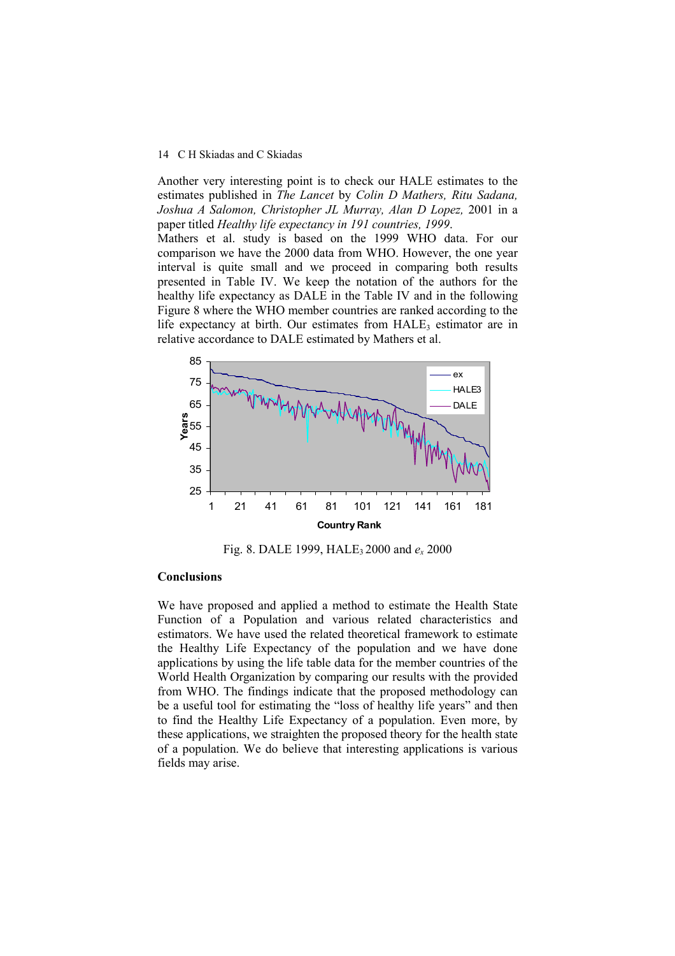Another very interesting point is to check our HALE estimates to the estimates published in *The Lancet* by *Colin D Mathers, Ritu Sadana, Joshua A Salomon, Christopher JL Murray, Alan D Lopez,* 2001 in a paper titled *Healthy life expectancy in 191 countries, 1999*.

Mathers et al. study is based on the 1999 WHO data. For our comparison we have the 2000 data from WHO. However, the one year interval is quite small and we proceed in comparing both results presented in Table IV. We keep the notation of the authors for the healthy life expectancy as DALE in the Table IV and in the following Figure 8 where the WHO member countries are ranked according to the life expectancy at birth. Our estimates from  $HALE<sub>3</sub>$  estimator are in relative accordance to DALE estimated by Mathers et al.



Fig. 8. DALE 1999, HALE3 2000 and *e<sup>x</sup>* 2000

# **Conclusions**

We have proposed and applied a method to estimate the Health State Function of a Population and various related characteristics and estimators. We have used the related theoretical framework to estimate the Healthy Life Expectancy of the population and we have done applications by using the life table data for the member countries of the World Health Organization by comparing our results with the provided from WHO. The findings indicate that the proposed methodology can be a useful tool for estimating the "loss of healthy life years" and then to find the Healthy Life Expectancy of a population. Even more, by these applications, we straighten the proposed theory for the health state of a population. We do believe that interesting applications is various fields may arise.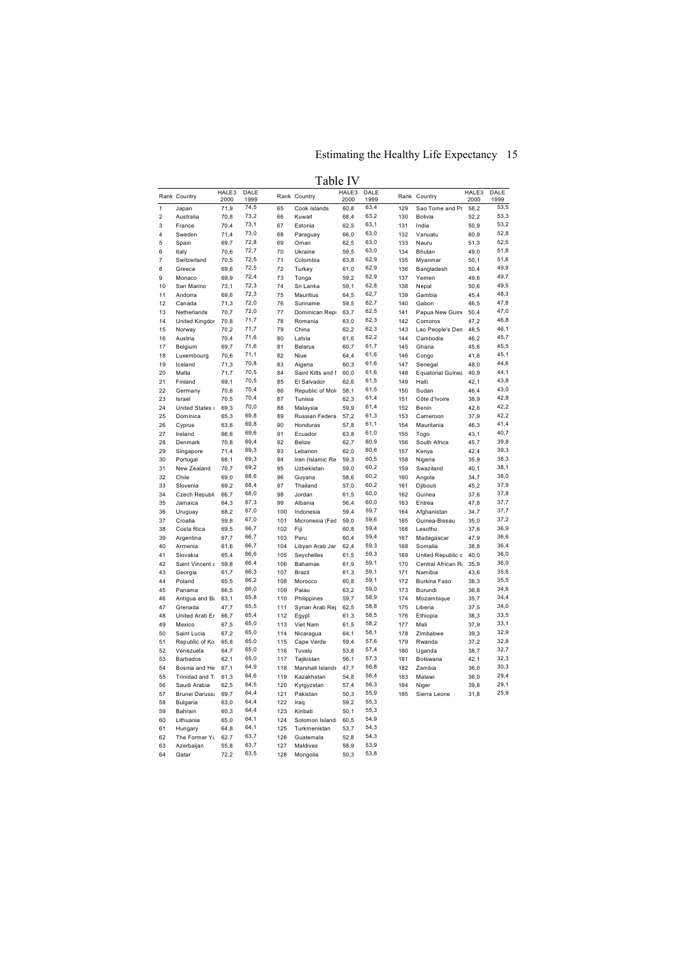# Estimating the Healthy Life Expectancy 15

Table IV

|                         |                       | HALE3        | DALE         |            |                         | HALE3        | DALE         |            |                          | HALE3        | DALE         |
|-------------------------|-----------------------|--------------|--------------|------------|-------------------------|--------------|--------------|------------|--------------------------|--------------|--------------|
|                         | Rank Country          | 2000         | 1999         |            | Rank Country            | 2000         | 1999         |            | Rank Country             | 2000         | 1999         |
| $\mathbf{1}$            | Japan                 | 71,9         | 74,5         | 65         | Cook Islands            | 60,8         | 63,4         | 129        | Sao Tome and Pr          | 58,2         | 53,5         |
| $\overline{\mathbf{c}}$ | Australia             | 70,8         | 73,2         | 66         | Kuwait                  | 68,4         | 63,2         | 130        | Bolivia                  | 52,2         | 53,3         |
| 3                       | France                | 70,4         | 73,1         | 67         | Estonia                 | 62,5         | 63,1         | 131        | India                    | 50,9         | 53,2         |
| 4                       | Sweden                | 71,4         | 73,0         | 68         | Paraguay                | 66,0         | 63,0         | 132        | Vanuatu                  | 60,9         | 52,8         |
| 5                       | Spain                 | 69,7         | 72,8         | 69         | Oman                    | 62,5         | 63,0         | 133        | Nauru                    | 51,3         | 52,5<br>51,8 |
| 6                       | Italy                 | 70,6         | 72,7<br>72,5 | 70         | Ukraine                 | 59,5         | 63,0<br>62,9 | 134        | Bhutan                   | 49,0         | 51,6         |
| $\overline{7}$          | Switzerland           | 70,5         |              | 71         | Colombia                | 63,8         |              | 135        | Myanmar                  | 50,1         | 49,9         |
| 8<br>$\mathbf{Q}$       | Greece<br>Monaco      | 69,6<br>69,9 | 72,5<br>72,4 | 72<br>73   | Turkey                  | 61,0<br>59,2 | 62,9<br>62,9 | 136<br>137 | Bangladesh<br>Yemen      | 50,4<br>49,6 | 49,7         |
| 10                      | San Marino            | 73,1         | 72,3         | 74         | Tonga<br>Sri Lanka      | 59,1         | 62,8         | 138        | Nepal                    | 50,6         | 49,5         |
| 11                      | Andorra               | 69,6         | 72,3         | 75         | Mauritius               | 64,5         | 62,7         | 139        | Gambia                   | 45,4         | 48,3         |
| 12                      | Canada                | 71,3         | 72,0         | 76         | Suriname                | 59,5         | 62,7         | 140        | Gabon                    | 46,5         | 47,8         |
| 13                      | Netherlands           | 70,7         | 72,0         | 77         | Dominican Repu          | 63,7         | 62,5         | 141        | Papua New Guine          | 50,4         | 47,0         |
| 14                      | United Kingdor        | 70,8         | 71,7         | 78         | Romania                 | 63,0         | 62,3         | 142        | Comoros                  | 47,2         | 46,8         |
| 15                      | Norway                | 70,2         | 71,7         | 79         | China                   | 62,2         | 62,3         | 143        | Lao People's Den         | 48,5         | 46,1         |
| 16                      | Austria               | 70,4         | 71,6         | 80         | Latvia                  | 61,6         | 62,2         | 144        | Cambodia                 | 46,2         | 45,7         |
| 17                      | Belgium               | 69,7         | 71,6         | 81         | <b>Belarus</b>          | 60,7         | 61,7         | 145        | Ghana                    | 45,6         | 45,5         |
| 18                      | Luxembourg            | 70,6         | 71,1         | 82         | Niue                    | 64,4         | 61,6         | 146        | Congo                    | 41,6         | 45,1         |
| 19                      | Iceland               | 71,3         | 70,8         | 83         | Algeria                 | 60,3         | 61,6         | 147        | Senegal                  | 48,0         | 44,6         |
| 20                      | Malta                 | 71,7         | 70,5         | 84         | Saint Kitts and I       | 60,0         | 61,6         | 148        | Equatorial Guinea        | 40,9         | 44,1         |
| 21                      | Finland               | 69,1         | 70,5         | 85         | El Salvador             | 62,6         | 61,5         | 149        | Haiti                    | 42,1         | 43,8         |
| 22                      | Germany               | 70,6         | 70,4         | 86         | Republic of Mok         | 58,1         | 61,5         | 150        | Sudan                    | 46,4         | 43,0         |
| 23                      | Israel                | 70,5         | 70,4         | 87         | Tunisia                 | 62,3         | 61,4         | 151        | Côte d'Ivoire            | 38,9         | 42,8         |
| 24                      | United States o       | 69,3         | 70,0         | 88         | Malaysia                | 59,9         | 61,4         | 152        | Benin                    | 42,6         | 42,2         |
| 25                      | Dominica              | 65,3         | 69,8         | 89         | Russian Federa          | 57,2         | 61,3         | 153        | Cameroon                 | 37,9         | 42,2         |
| 26                      | Cyprus                | 63,6         | 69,8         | 90         | Honduras                | 57,8         | 61,1         | 154        | Mauritania               | 46,3         | 41,4         |
| 27                      | Ireland               | 66,6         | 69,6         | 91         | Ecuador                 | 63,8         | 61,0         | 155        | Togo                     | 43,1         | 40,7         |
| 28                      | Denmark               | 70,8         | 69,4         | 92         | Belize                  | 62,7         | 60,9         | 156        | South Africa             | 45,7         | 39,8         |
| 29                      | Singapore             | 71,4         | 69,3         | 93         | Lebanon                 | 62,0         | 60,6         | 157        | Kenya                    | 42,4         | 39,3         |
| 30                      | Portugal              | 68,1         | 69,3         | 94         | Iran (Islamic Re        | 59,3         | 60,5         | 158        | Nigeria                  | 35,9         | 38,3         |
| 31                      | New Zealand           | 70,7         | 69,2         | 95         | Uzbekistan              | 59,0         | 60,2         | 159        | Swaziland                | 40,1         | 38,1         |
| 32                      | Chile                 | 69,0         | 68,6         | 96         | Guyana                  | 58,6         | 60,2         | 160        | Angola                   | 34,7         | 38,0         |
| 33                      | Slovenia              | 69,2         | 68,4         | 97         | Thailand                | 57,0         | 60,2         | 161        | Djibouti                 | 45,2         | 37,9         |
| 34                      | Czech Republi         | 66,7         | 68,0         | 98         | Jordan                  | 61,5         | 60,0         | 162        | Guinea                   | 37,6         | 37,8         |
| 35                      | Jamaica               | 64,3         | 67,3         | 99         | Albania                 | 56,4         | 60,0         | 163        | Eritrea                  | 47,8         | 37,7<br>37,7 |
| 36                      | Uruguay               | 68,2         | 67,0<br>67,0 | 100        | Indonesia               | 59,4         | 59,7<br>59,6 | 164        | Afghanistan              | 34.7         | 37,2         |
| 37<br>38                | Croatia<br>Costa Rica | 59,8<br>69,5 | 66,7         | 101<br>102 | Micronesia (Fed<br>Fiji | 59,0<br>60,8 | 59,4         | 165<br>166 | Guinea-Bissau<br>Lesotho | 35,0<br>37,6 | 36,9         |
| 39                      |                       | 67,7         | 66,7         | 103        | Peru                    | 60,4         | 59,4         | 167        |                          | 47,9         | 36,6         |
| 40                      | Argentina<br>Armenia  | 61,6         | 66,7         | 104        | Libyan Arab Jan         | 62,4         | 59,3         | 168        | Madagascar<br>Somalia    | 38,8         | 36,4         |
| 41                      | Slovakia              | 65,4         | 66,6         | 105        | Seychelles              | 61,5         | 59,3         | 169        | United Republic c        | 40,0         | 36,0         |
| 42                      | Saint Vincent a       | 59,8         | 66,4         | 106        | <b>Bahamas</b>          | 61,9         | 59,1         | 170        | Central African R        | 35,9         | 36,0         |
| 43                      | Georgia               | 61,7         | 66,3         | 107        | Brazil                  | 61,3         | 59,1         | 171        | Namibia                  | 43,6         | 35,6         |
| 44                      | Poland                | 65,5         | 66,2         | 108        | Morocco                 | 60,8         | 59,1         | 172        | Burkina Faso             | 38,3         | 35,5         |
| 45                      | Panama                | 66,5         | 66,0         | 109        | Palau                   | 63,2         | 59,0         | 173        | Burundi                  | 36,8         | 34,6         |
| 46                      | Antigua and Ba        | 63,1         | 65,8         | 110        | Philippines             | 59,7         | 58,9         | 174        | Mozambique               | 35,7         | 34,4         |
| 47                      | Grenada               | 47,7         | 65,5         | 111        | Syrian Arab Rep         | 62,5         | 58,8         | 175        | Liberia                  | 37,5         | 34,0         |
| 48                      | United Arab Er        | 66,7         | 65,4         | 112        | Egypt                   | 61,3         | 58,5         | 176        | Ethiopia                 | 38,3         | 33,5         |
| 49                      | Mexico                | 67,5         | 65,0         | 113        | Viet Nam                | 61,5         | 58,2         | 177        | Mali                     | 37,9         | 33,1         |
| 50                      | Saint Lucia           | 67,2         | 65,0         | 114        | Nicaragua               | 64,1         | 58,1         | 178        | Zimbabwe                 | 39,3         | 32,9         |
| 51                      | Republic of Ko        | 65,8         | 65,0         | 115        | Cape Verde              | 59,4         | 57,6         | 179        | Rwanda                   | 37,2         | 32,8         |
| 52                      | Venezuela             | 64,7         | 65,0         | 116        | Tuvalu                  | 53,8         | 57,4         | 180        | Uganda                   | 38,7         | 32,7         |
| 53                      | <b>Barbados</b>       | 62,1         | 65,0         | 117        | Tajikistan              | 56,1         | 57,3         | 181        | Botswana                 | 42,1         | 32,3         |
| 54                      | Bosnia and He         | 67,1         | 64,9         | 118        | Marshall Islands        | 47,7         | 56,8         | 182        | Zambia                   | 36,0         | 30,3         |
| 55                      | Trinidad and T        | 61,3         | 64,6         | 119        | Kazakhstan              | 54,8         | 56,4         | 183        | Malawi                   | 36,0         | 29,4         |
| 56                      | Saudi Arabia          | 62,5         | 64,5         | 120        | Kyrgyzstan              | 57,4         | 56,3         | 184        | Niger                    | 39,8         | 29,1         |
| 57                      | Brunei Darussa        | 69,7         | 64,4         | 121        | Pakistan                | 50,3         | 55,9         | 185        | Sierra Leone             | 31,8         | 25,9         |
| 58                      | <b>Bulgaria</b>       | 63,0         | 64,4         | 122        | Iraq                    | 59,2         | 55,3         |            |                          |              |              |
| 59                      | Bahrain               | 60,3         | 64,4         | 123        | Kiribati                | 50,1         | 55,3         |            |                          |              |              |
| 60                      | Lithuania             | 65.0         | 64,1         | 124        | Solomon Island:         | 60.5         | 54,9         |            |                          |              |              |
| 61                      | Hungary               | 64,8         | 64,1         | 125        | Turkmenistan            | 53,7         | 54,3         |            |                          |              |              |
| 62                      | The Former Yu         | 62,7         | 63,7         | 126        | Guatemala               | 52,8         | 54,3         |            |                          |              |              |
| 63                      | Azerbaijan            | 55,8         | 63,7         | 127        | Maldives                | 58,9         | 53,9         |            |                          |              |              |
| 64                      | Qatar                 | 72,2         | 63,5         | 128        | Mongolia                | 50,3         | 53,8         |            |                          |              |              |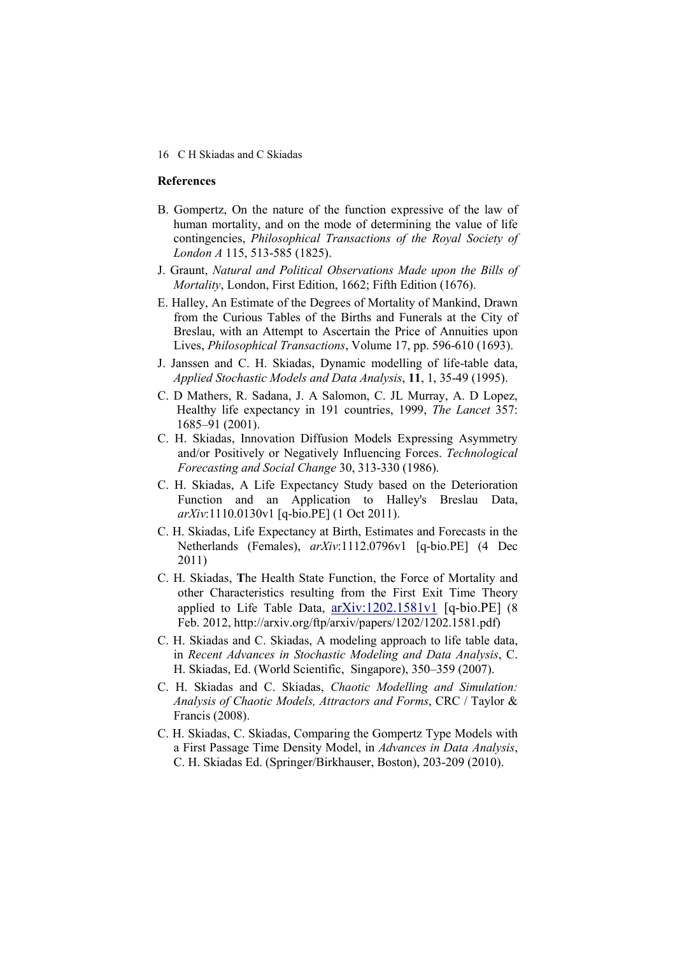## **References**

- B. Gompertz, On the nature of the function expressive of the law of human mortality, and on the mode of determining the value of life contingencies, *Philosophical Transactions of the Royal Society of London A* 115, 513-585 (1825).
- J. Graunt, *Natural and Political Observations Made upon the Bills of Mortality*, London, First Edition, 1662; Fifth Edition (1676).
- E. Halley, An Estimate of the Degrees of Mortality of Mankind, Drawn from the Curious Tables of the Births and Funerals at the City of Breslau, with an Attempt to Ascertain the Price of Annuities upon Lives, *Philosophical Transactions*, Volume 17, pp. 596-610 (1693).
- J. Janssen and C. H. Skiadas, Dynamic modelling of life-table data, *Applied Stochastic Models and Data Analysis*, **11**, 1, 35-49 (1995).
- C. D Mathers, R. Sadana, J. A Salomon, C. JL Murray, A. D Lopez, Healthy life expectancy in 191 countries, 1999, *The Lancet* 357: 1685–91 (2001).
- C. H. Skiadas, Innovation Diffusion Models Expressing Asymmetry and/or Positively or Negatively Influencing Forces. *Technological Forecasting and Social Change* 30, 313-330 (1986).
- C. H. Skiadas, A Life Expectancy Study based on the Deterioration Function and an Application to Halley's Breslau Data, *arXiv*:1110.0130v1 [q-bio.PE] (1 Oct 2011).
- C. H. Skiadas, Life Expectancy at Birth, Estimates and Forecasts in the Netherlands (Females), *arXiv*:1112.0796v1 [q-bio.PE] (4 Dec 2011)
- C. H. Skiadas, **T**he Health State Function, the Force of Mortality and other Characteristics resulting from the First Exit Time Theory applied to Life Table Data, arXiv:1202.1581v1 [q-bio.PE] (8 Feb. 2012, http://arxiv.org/ftp/arxiv/papers/1202/1202.1581.pdf)
- C. H. Skiadas and C. Skiadas, A modeling approach to life table data, in *Recent Advances in Stochastic Modeling and Data Analysis*, C. H. Skiadas, Ed. (World Scientific, Singapore), 350–359 (2007).
- C. H. Skiadas and C. Skiadas, *Chaotic Modelling and Simulation: Analysis of Chaotic Models, Attractors and Forms*, CRC / Taylor & Francis (2008).
- C. H. Skiadas, C. Skiadas, Comparing the Gompertz Type Models with a First Passage Time Density Model, in *Advances in Data Analysis*, C. H. Skiadas Ed. (Springer/Birkhauser, Boston), 203-209 (2010).